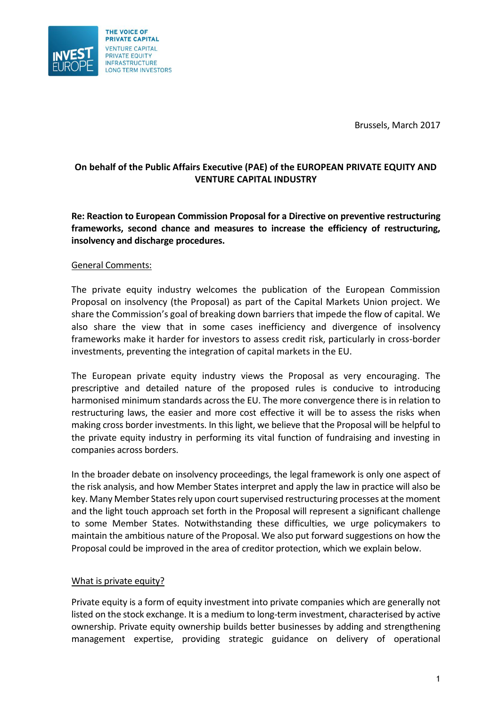Brussels, March 2017



## **On behalf of the Public Affairs Executive (PAE) of the EUROPEAN PRIVATE EQUITY AND VENTURE CAPITAL INDUSTRY**

**Re: Reaction to European Commission Proposal for a Directive on preventive restructuring frameworks, second chance and measures to increase the efficiency of restructuring, insolvency and discharge procedures.**

# General Comments:

The private equity industry welcomes the publication of the European Commission Proposal on insolvency (the Proposal) as part of the Capital Markets Union project. We share the Commission's goal of breaking down barriers that impede the flow of capital. We also share the view that in some cases inefficiency and divergence of insolvency frameworks make it harder for investors to assess credit risk, particularly in cross-border investments, preventing the integration of capital markets in the EU.

The European private equity industry views the Proposal as very encouraging. The prescriptive and detailed nature of the proposed rules is conducive to introducing harmonised minimum standards across the EU. The more convergence there is in relation to restructuring laws, the easier and more cost effective it will be to assess the risks when making cross border investments. In this light, we believe that the Proposal will be helpful to the private equity industry in performing its vital function of fundraising and investing in companies across borders.

In the broader debate on insolvency proceedings, the legal framework is only one aspect of the risk analysis, and how Member States interpret and apply the law in practice will also be key. Many Member States rely upon court supervised restructuring processes at the moment and the light touch approach set forth in the Proposal will represent a significant challenge to some Member States. Notwithstanding these difficulties, we urge policymakers to maintain the ambitious nature of the Proposal. We also put forward suggestions on how the Proposal could be improved in the area of creditor protection, which we explain below.

## What is private equity?

Private equity is a form of equity investment into private companies which are generally not listed on the stock exchange. It is a medium to long-term investment, characterised by active ownership. Private equity ownership builds better businesses by adding and strengthening management expertise, providing strategic guidance on delivery of operational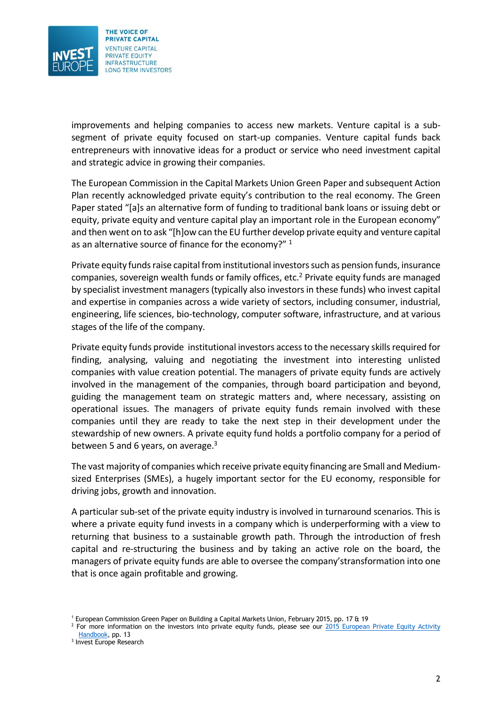

improvements and helping companies to access new markets. Venture capital is a subsegment of private equity focused on start-up companies. Venture capital funds back entrepreneurs with innovative ideas for a product or service who need investment capital and strategic advice in growing their companies.

The European Commission in the Capital Markets Union Green Paper and subsequent Action Plan recently acknowledged private equity's contribution to the real economy. The Green Paper stated "[a]s an alternative form of funding to traditional bank loans or issuing debt or equity, private equity and venture capital play an important role in the European economy" and then went on to ask "[h]ow can the EU further develop private equity and venture capital as an alternative source of finance for the economy?"<sup>1</sup>

Private equity funds raise capital from institutional investors such as pension funds, insurance companies, sovereign wealth funds or family offices, etc.<sup>2</sup> Private equity funds are managed by specialist investment managers (typically also investors in these funds) who invest capital and expertise in companies across a wide variety of sectors, including consumer, industrial, engineering, life sciences, bio-technology, computer software, infrastructure, and at various stages of the life of the company.

Private equity funds provide institutional investors access to the necessary skills required for finding, analysing, valuing and negotiating the investment into interesting unlisted companies with value creation potential. The managers of private equity funds are actively involved in the management of the companies, through board participation and beyond, guiding the management team on strategic matters and, where necessary, assisting on operational issues. The managers of private equity funds remain involved with these companies until they are ready to take the next step in their development under the stewardship of new owners. A private equity fund holds a portfolio company for a period of between 5 and 6 years, on average. $3$ 

The vast majority of companies which receive private equity financing are Small and Mediumsized Enterprises (SMEs), a hugely important sector for the EU economy, responsible for driving jobs, growth and innovation.

A particular sub-set of the private equity industry is involved in turnaround scenarios. This is where a private equity fund invests in a company which is underperforming with a view to returning that business to a sustainable growth path. Through the introduction of fresh capital and re-structuring the business and by taking an active role on the board, the managers of private equity funds are able to oversee the company'stransformation into one that is once again profitable and growing.

<sup>1</sup> European Commission Green Paper on Building a Capital Markets Union, February 2015, pp. 17 & 19

 $<sup>2</sup>$  For more information on the investors into private equity funds, please see our 2015 European Private Equity Activity</sup> [Handbook,](https://www.investeurope.eu/media/476271/2015-european-private-equity-activity.pdf) pp. 13

<sup>3</sup> Invest Europe Research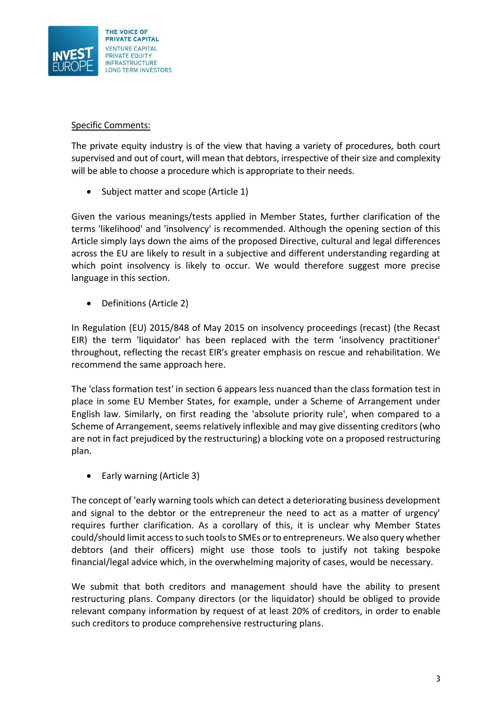

# Specific Comments:

The private equity industry is of the view that having a variety of procedures, both court supervised and out of court, will mean that debtors, irrespective of their size and complexity will be able to choose a procedure which is appropriate to their needs.

Subject matter and scope (Article 1)

Given the various meanings/tests applied in Member States, further clarification of the terms 'likelihood' and 'insolvency' is recommended. Although the opening section of this Article simply lays down the aims of the proposed Directive, cultural and legal differences across the EU are likely to result in a subjective and different understanding regarding at which point insolvency is likely to occur. We would therefore suggest more precise language in this section.

• Definitions (Article 2)

In Regulation (EU) 2015/848 of May 2015 on insolvency proceedings (recast) (the Recast EIR) the term 'liquidator' has been replaced with the term 'insolvency practitioner' throughout, reflecting the recast EIR's greater emphasis on rescue and rehabilitation. We recommend the same approach here.

The 'class formation test' in section 6 appears less nuanced than the class formation test in place in some EU Member States, for example, under a Scheme of Arrangement under English law. Similarly, on first reading the 'absolute priority rule', when compared to a Scheme of Arrangement, seems relatively inflexible and may give dissenting creditors (who are not in fact prejudiced by the restructuring) a blocking vote on a proposed restructuring plan.

• Early warning (Article 3)

The concept of 'early warning tools which can detect a deteriorating business development and signal to the debtor or the entrepreneur the need to act as a matter of urgency' requires further clarification. As a corollary of this, it is unclear why Member States could/should limit access to such tools to SMEs or to entrepreneurs. We also query whether debtors (and their officers) might use those tools to justify not taking bespoke financial/legal advice which, in the overwhelming majority of cases, would be necessary.

We submit that both creditors and management should have the ability to present restructuring plans. Company directors (or the liquidator) should be obliged to provide relevant company information by request of at least 20% of creditors, in order to enable such creditors to produce comprehensive restructuring plans.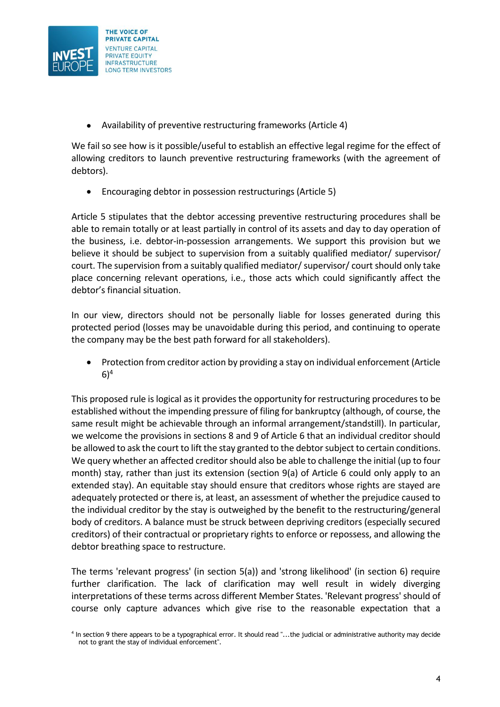

Availability of preventive restructuring frameworks (Article 4)

We fail so see how is it possible/useful to establish an effective legal regime for the effect of allowing creditors to launch preventive restructuring frameworks (with the agreement of debtors).

Encouraging debtor in possession restructurings (Article 5)

Article 5 stipulates that the debtor accessing preventive restructuring procedures shall be able to remain totally or at least partially in control of its assets and day to day operation of the business, i.e. debtor-in-possession arrangements. We support this provision but we believe it should be subject to supervision from a suitably qualified mediator/ supervisor/ court. The supervision from a suitably qualified mediator/ supervisor/ court should only take place concerning relevant operations, i.e., those acts which could significantly affect the debtor's financial situation.

In our view, directors should not be personally liable for losses generated during this protected period (losses may be unavoidable during this period, and continuing to operate the company may be the best path forward for all stakeholders).

• Protection from creditor action by providing a stay on individual enforcement (Article  $6)^4$ 

This proposed rule is logical as it provides the opportunity for restructuring procedures to be established without the impending pressure of filing for bankruptcy (although, of course, the same result might be achievable through an informal arrangement/standstill). In particular, we welcome the provisions in sections 8 and 9 of Article 6 that an individual creditor should be allowed to ask the court to lift the stay granted to the debtor subject to certain conditions. We query whether an affected creditor should also be able to challenge the initial (up to four month) stay, rather than just its extension (section 9(a) of Article 6 could only apply to an extended stay). An equitable stay should ensure that creditors whose rights are stayed are adequately protected or there is, at least, an assessment of whether the prejudice caused to the individual creditor by the stay is outweighed by the benefit to the restructuring/general body of creditors. A balance must be struck between depriving creditors (especially secured creditors) of their contractual or proprietary rights to enforce or repossess, and allowing the debtor breathing space to restructure.

The terms 'relevant progress' (in section 5(a)) and 'strong likelihood' (in section 6) require further clarification. The lack of clarification may well result in widely diverging interpretations of these terms across different Member States. 'Relevant progress' should of course only capture advances which give rise to the reasonable expectation that a

<sup>4</sup> In section 9 there appears to be a typographical error. It should read "...the judicial or administrative authority may decide not to grant the stay of individual enforcement".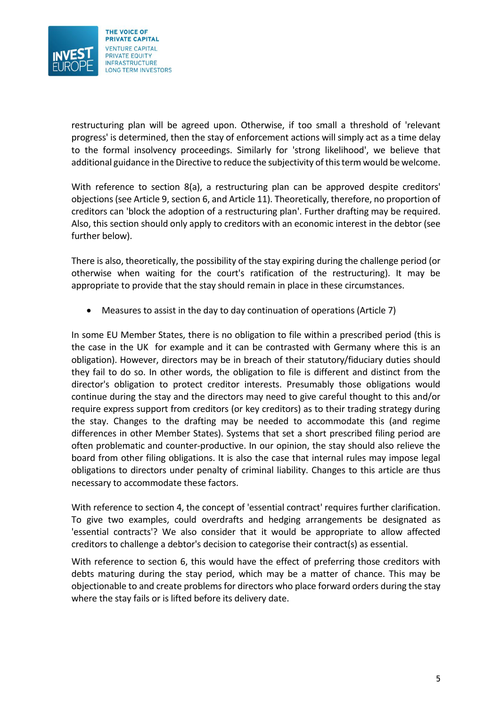

restructuring plan will be agreed upon. Otherwise, if too small a threshold of 'relevant progress' is determined, then the stay of enforcement actions will simply act as a time delay to the formal insolvency proceedings. Similarly for 'strong likelihood', we believe that additional guidance in the Directive to reduce the subjectivity of this term would be welcome.

With reference to section 8(a), a restructuring plan can be approved despite creditors' objections (see Article 9, section 6, and Article 11). Theoretically, therefore, no proportion of creditors can 'block the adoption of a restructuring plan'. Further drafting may be required. Also, this section should only apply to creditors with an economic interest in the debtor (see further below).

There is also, theoretically, the possibility of the stay expiring during the challenge period (or otherwise when waiting for the court's ratification of the restructuring). It may be appropriate to provide that the stay should remain in place in these circumstances.

Measures to assist in the day to day continuation of operations (Article 7)

In some EU Member States, there is no obligation to file within a prescribed period (this is the case in the UK for example and it can be contrasted with Germany where this is an obligation). However, directors may be in breach of their statutory/fiduciary duties should they fail to do so. In other words, the obligation to file is different and distinct from the director's obligation to protect creditor interests. Presumably those obligations would continue during the stay and the directors may need to give careful thought to this and/or require express support from creditors (or key creditors) as to their trading strategy during the stay. Changes to the drafting may be needed to accommodate this (and regime differences in other Member States). Systems that set a short prescribed filing period are often problematic and counter-productive. In our opinion, the stay should also relieve the board from other filing obligations. It is also the case that internal rules may impose legal obligations to directors under penalty of criminal liability. Changes to this article are thus necessary to accommodate these factors.

With reference to section 4, the concept of 'essential contract' requires further clarification. To give two examples, could overdrafts and hedging arrangements be designated as 'essential contracts'? We also consider that it would be appropriate to allow affected creditors to challenge a debtor's decision to categorise their contract(s) as essential.

With reference to section 6, this would have the effect of preferring those creditors with debts maturing during the stay period, which may be a matter of chance. This may be objectionable to and create problems for directors who place forward orders during the stay where the stay fails or is lifted before its delivery date.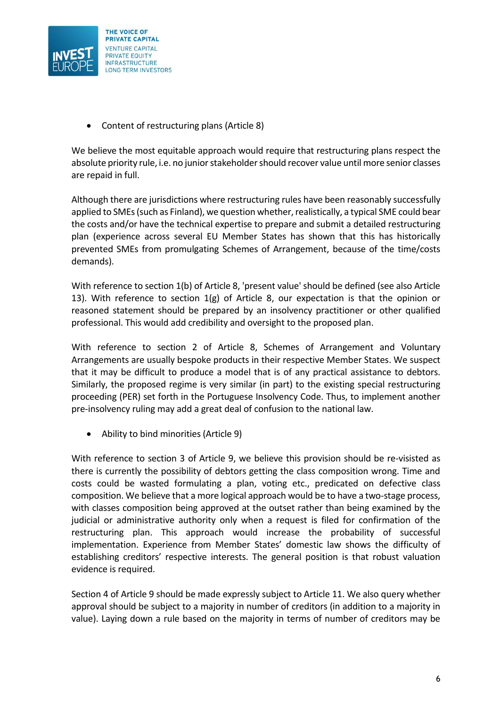

Content of restructuring plans (Article 8)

We believe the most equitable approach would require that restructuring plans respect the absolute priority rule, i.e. no junior stakeholder should recover value until more senior classes are repaid in full.

Although there are jurisdictions where restructuring rules have been reasonably successfully applied to SMEs (such as Finland), we question whether, realistically, a typical SME could bear the costs and/or have the technical expertise to prepare and submit a detailed restructuring plan (experience across several EU Member States has shown that this has historically prevented SMEs from promulgating Schemes of Arrangement, because of the time/costs demands).

With reference to section 1(b) of Article 8, 'present value' should be defined (see also Article 13). With reference to section 1(g) of Article 8, our expectation is that the opinion or reasoned statement should be prepared by an insolvency practitioner or other qualified professional. This would add credibility and oversight to the proposed plan.

With reference to section 2 of Article 8, Schemes of Arrangement and Voluntary Arrangements are usually bespoke products in their respective Member States. We suspect that it may be difficult to produce a model that is of any practical assistance to debtors. Similarly, the proposed regime is very similar (in part) to the existing special restructuring proceeding (PER) set forth in the Portuguese Insolvency Code. Thus, to implement another pre-insolvency ruling may add a great deal of confusion to the national law.

Ability to bind minorities (Article 9)

With reference to section 3 of Article 9, we believe this provision should be re-visisted as there is currently the possibility of debtors getting the class composition wrong. Time and costs could be wasted formulating a plan, voting etc., predicated on defective class composition. We believe that a more logical approach would be to have a two-stage process, with classes composition being approved at the outset rather than being examined by the judicial or administrative authority only when a request is filed for confirmation of the restructuring plan. This approach would increase the probability of successful implementation. Experience from Member States' domestic law shows the difficulty of establishing creditors' respective interests. The general position is that robust valuation evidence is required.

Section 4 of Article 9 should be made expressly subject to Article 11. We also query whether approval should be subject to a majority in number of creditors (in addition to a majority in value). Laying down a rule based on the majority in terms of number of creditors may be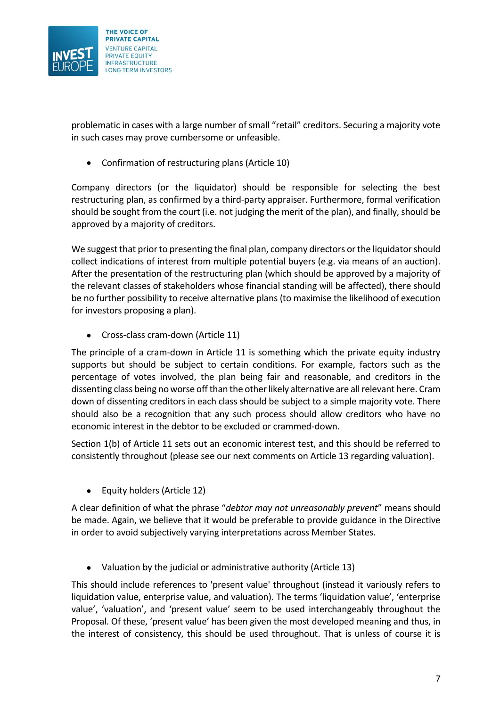

problematic in cases with a large number of small "retail" creditors. Securing a majority vote in such cases may prove cumbersome or unfeasible.

Confirmation of restructuring plans (Article 10)

Company directors (or the liquidator) should be responsible for selecting the best restructuring plan, as confirmed by a third-party appraiser. Furthermore, formal verification should be sought from the court (i.e. not judging the merit of the plan), and finally, should be approved by a majority of creditors.

We suggest that prior to presenting the final plan, company directors or the liquidator should collect indications of interest from multiple potential buyers (e.g. via means of an auction). After the presentation of the restructuring plan (which should be approved by a majority of the relevant classes of stakeholders whose financial standing will be affected), there should be no further possibility to receive alternative plans (to maximise the likelihood of execution for investors proposing a plan).

• Cross-class cram-down (Article 11)

The principle of a cram-down in Article 11 is something which the private equity industry supports but should be subject to certain conditions. For example, factors such as the percentage of votes involved, the plan being fair and reasonable, and creditors in the dissenting class being no worse off than the other likely alternative are all relevant here. Cram down of dissenting creditors in each class should be subject to a simple majority vote. There should also be a recognition that any such process should allow creditors who have no economic interest in the debtor to be excluded or crammed-down.

Section 1(b) of Article 11 sets out an economic interest test, and this should be referred to consistently throughout (please see our next comments on Article 13 regarding valuation).

Equity holders (Article 12)

A clear definition of what the phrase "*debtor may not unreasonably prevent*" means should be made. Again, we believe that it would be preferable to provide guidance in the Directive in order to avoid subjectively varying interpretations across Member States.

Valuation by the judicial or administrative authority (Article 13)

This should include references to 'present value' throughout (instead it variously refers to liquidation value, enterprise value, and valuation). The terms 'liquidation value', 'enterprise value', 'valuation', and 'present value' seem to be used interchangeably throughout the Proposal. Of these, 'present value' has been given the most developed meaning and thus, in the interest of consistency, this should be used throughout. That is unless of course it is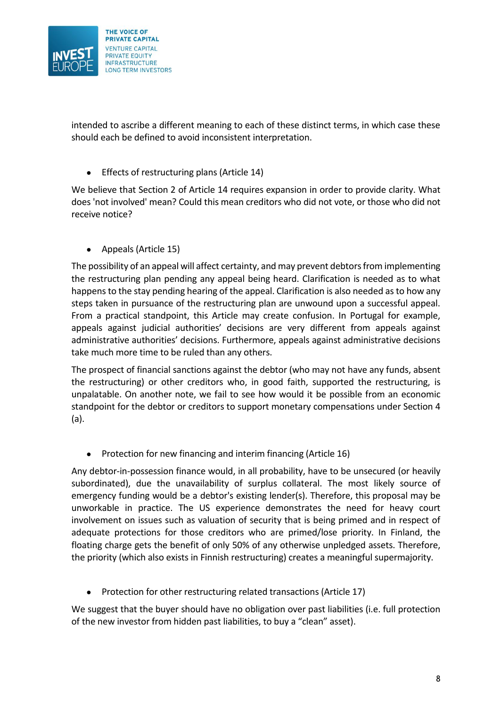

intended to ascribe a different meaning to each of these distinct terms, in which case these should each be defined to avoid inconsistent interpretation.

Effects of restructuring plans (Article 14)

We believe that Section 2 of Article 14 requires expansion in order to provide clarity. What does 'not involved' mean? Could this mean creditors who did not vote, or those who did not receive notice?

• Appeals (Article 15)

The possibility of an appeal will affect certainty, and may prevent debtors from implementing the restructuring plan pending any appeal being heard. Clarification is needed as to what happens to the stay pending hearing of the appeal. Clarification is also needed as to how any steps taken in pursuance of the restructuring plan are unwound upon a successful appeal. From a practical standpoint, this Article may create confusion. In Portugal for example, appeals against judicial authorities' decisions are very different from appeals against administrative authorities' decisions. Furthermore, appeals against administrative decisions take much more time to be ruled than any others.

The prospect of financial sanctions against the debtor (who may not have any funds, absent the restructuring) or other creditors who, in good faith, supported the restructuring, is unpalatable. On another note, we fail to see how would it be possible from an economic standpoint for the debtor or creditors to support monetary compensations under Section 4 (a).

• Protection for new financing and interim financing (Article 16)

Any debtor-in-possession finance would, in all probability, have to be unsecured (or heavily subordinated), due the unavailability of surplus collateral. The most likely source of emergency funding would be a debtor's existing lender(s). Therefore, this proposal may be unworkable in practice. The US experience demonstrates the need for heavy court involvement on issues such as valuation of security that is being primed and in respect of adequate protections for those creditors who are primed/lose priority. In Finland, the floating charge gets the benefit of only 50% of any otherwise unpledged assets. Therefore, the priority (which also exists in Finnish restructuring) creates a meaningful supermajority.

• Protection for other restructuring related transactions (Article 17)

We suggest that the buyer should have no obligation over past liabilities (i.e. full protection of the new investor from hidden past liabilities, to buy a "clean" asset).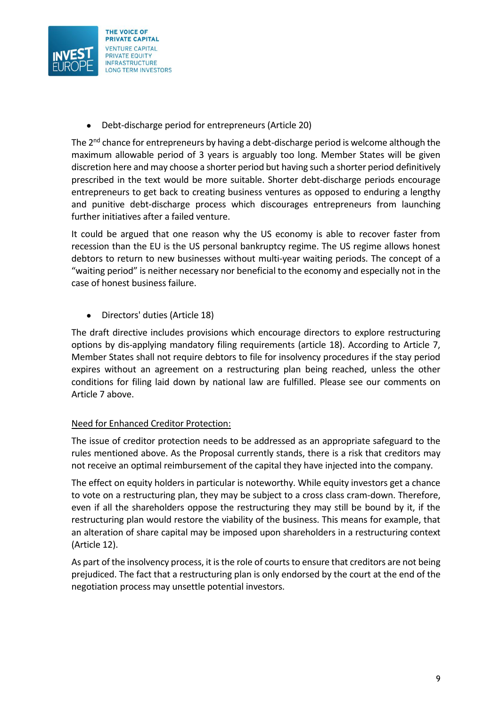

Debt-discharge period for entrepreneurs (Article 20)

The  $2<sup>nd</sup>$  chance for entrepreneurs by having a debt-discharge period is welcome although the maximum allowable period of 3 years is arguably too long. Member States will be given discretion here and may choose a shorter period but having such a shorter period definitively prescribed in the text would be more suitable. Shorter debt-discharge periods encourage entrepreneurs to get back to creating business ventures as opposed to enduring a lengthy and punitive debt-discharge process which discourages entrepreneurs from launching further initiatives after a failed venture.

It could be argued that one reason why the US economy is able to recover faster from recession than the EU is the US personal bankruptcy regime. The US regime allows honest debtors to return to new businesses without multi-year waiting periods. The concept of a "waiting period" is neither necessary nor beneficial to the economy and especially not in the case of honest business failure.

Directors' duties (Article 18)

The draft directive includes provisions which encourage directors to explore restructuring options by dis-applying mandatory filing requirements (article 18). According to Article 7, Member States shall not require debtors to file for insolvency procedures if the stay period expires without an agreement on a restructuring plan being reached, unless the other conditions for filing laid down by national law are fulfilled. Please see our comments on Article 7 above.

## Need for Enhanced Creditor Protection:

The issue of creditor protection needs to be addressed as an appropriate safeguard to the rules mentioned above. As the Proposal currently stands, there is a risk that creditors may not receive an optimal reimbursement of the capital they have injected into the company.

The effect on equity holders in particular is noteworthy. While equity investors get a chance to vote on a restructuring plan, they may be subject to a cross class cram-down. Therefore, even if all the shareholders oppose the restructuring they may still be bound by it, if the restructuring plan would restore the viability of the business. This means for example, that an alteration of share capital may be imposed upon shareholders in a restructuring context (Article 12).

As part of the insolvency process, it is the role of courts to ensure that creditors are not being prejudiced. The fact that a restructuring plan is only endorsed by the court at the end of the negotiation process may unsettle potential investors.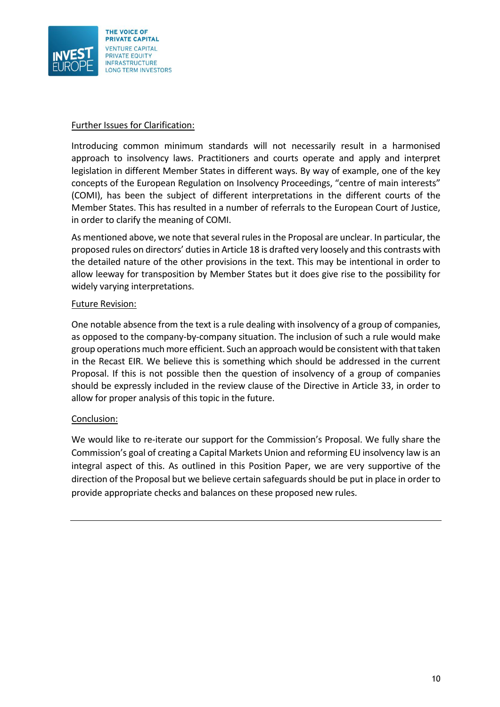

### Further Issues for Clarification:

Introducing common minimum standards will not necessarily result in a harmonised approach to insolvency laws. Practitioners and courts operate and apply and interpret legislation in different Member States in different ways. By way of example, one of the key concepts of the European Regulation on Insolvency Proceedings, "centre of main interests" (COMI), has been the subject of different interpretations in the different courts of the Member States. This has resulted in a number of referrals to the European Court of Justice, in order to clarify the meaning of COMI.

As mentioned above, we note that several rules in the Proposal are unclear. In particular, the proposed rules on directors' duties in Article 18 is drafted very loosely and this contrasts with the detailed nature of the other provisions in the text. This may be intentional in order to allow leeway for transposition by Member States but it does give rise to the possibility for widely varying interpretations.

#### Future Revision:

One notable absence from the text is a rule dealing with insolvency of a group of companies, as opposed to the company-by-company situation. The inclusion of such a rule would make group operations much more efficient. Such an approach would be consistent with that taken in the Recast EIR. We believe this is something which should be addressed in the current Proposal. If this is not possible then the question of insolvency of a group of companies should be expressly included in the review clause of the Directive in Article 33, in order to allow for proper analysis of this topic in the future.

## Conclusion:

We would like to re-iterate our support for the Commission's Proposal. We fully share the Commission's goal of creating a Capital Markets Union and reforming EU insolvency law is an integral aspect of this. As outlined in this Position Paper, we are very supportive of the direction of the Proposal but we believe certain safeguards should be put in place in order to provide appropriate checks and balances on these proposed new rules.